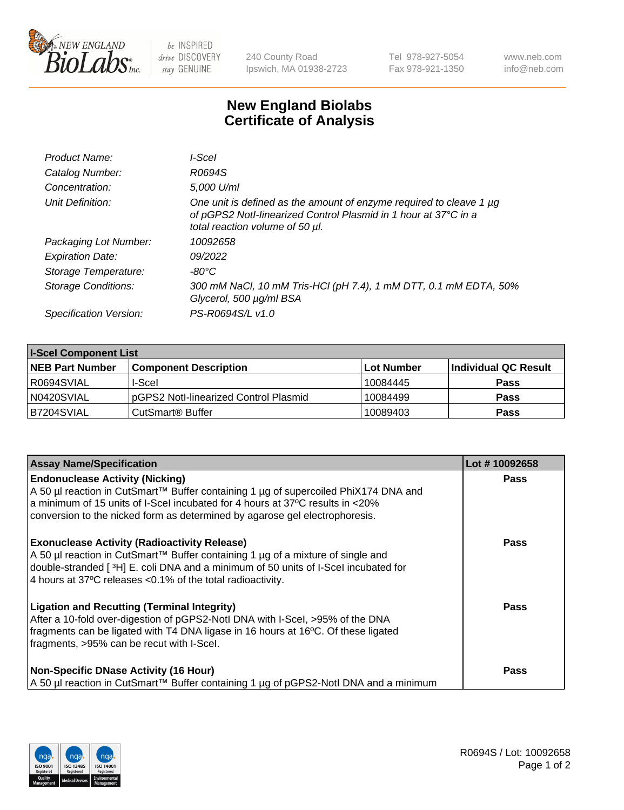

 $be$  INSPIRED drive DISCOVERY stay GENUINE

240 County Road Ipswich, MA 01938-2723 Tel 978-927-5054 Fax 978-921-1350 www.neb.com info@neb.com

## **New England Biolabs Certificate of Analysis**

| Product Name:              | l-Scel                                                                                                                                                                    |
|----------------------------|---------------------------------------------------------------------------------------------------------------------------------------------------------------------------|
| Catalog Number:            | R0694S                                                                                                                                                                    |
| Concentration:             | 5.000 U/ml                                                                                                                                                                |
| Unit Definition:           | One unit is defined as the amount of enzyme required to cleave 1 µg<br>of pGPS2 Notl-linearized Control Plasmid in 1 hour at 37°C in a<br>total reaction volume of 50 µl. |
| Packaging Lot Number:      | 10092658                                                                                                                                                                  |
| <b>Expiration Date:</b>    | 09/2022                                                                                                                                                                   |
| Storage Temperature:       | -80°C                                                                                                                                                                     |
| <b>Storage Conditions:</b> | 300 mM NaCl, 10 mM Tris-HCl (pH 7.4), 1 mM DTT, 0.1 mM EDTA, 50%<br>Glycerol, 500 µg/ml BSA                                                                               |
| Specification Version:     | PS-R0694S/L v1.0                                                                                                                                                          |

| <b>I-Scel Component List</b> |                                        |              |                      |  |
|------------------------------|----------------------------------------|--------------|----------------------|--|
| <b>NEB Part Number</b>       | <b>Component Description</b>           | l Lot Number | Individual QC Result |  |
| IR0694SVIAL                  | I-Scel                                 | 10084445     | <b>Pass</b>          |  |
| N0420SVIAL                   | IpGPS2 Notl-linearized Control Plasmid | 10084499     | <b>Pass</b>          |  |
| B7204SVIAL                   | CutSmart <sup>®</sup> Buffer           | 10089403     | <b>Pass</b>          |  |

| <b>Assay Name/Specification</b>                                                                                                                                                                                                                                                                | Lot #10092658 |
|------------------------------------------------------------------------------------------------------------------------------------------------------------------------------------------------------------------------------------------------------------------------------------------------|---------------|
| <b>Endonuclease Activity (Nicking)</b><br>A 50 µl reaction in CutSmart™ Buffer containing 1 µg of supercoiled PhiX174 DNA and<br>a minimum of 15 units of I-Scel incubated for 4 hours at 37 °C results in <20%<br>conversion to the nicked form as determined by agarose gel electrophoresis. | <b>Pass</b>   |
| <b>Exonuclease Activity (Radioactivity Release)</b><br>A 50 µl reaction in CutSmart™ Buffer containing 1 µg of a mixture of single and<br>double-stranded [3H] E. coli DNA and a minimum of 50 units of I-Scel incubated for<br>4 hours at 37°C releases <0.1% of the total radioactivity.     | <b>Pass</b>   |
| <b>Ligation and Recutting (Terminal Integrity)</b><br>After a 10-fold over-digestion of pGPS2-Notl DNA with I-Scel, >95% of the DNA<br>fragments can be ligated with T4 DNA ligase in 16 hours at 16°C. Of these ligated<br>fragments, >95% can be recut with I-Scel.                          | <b>Pass</b>   |
| <b>Non-Specific DNase Activity (16 Hour)</b><br>A 50 µl reaction in CutSmart™ Buffer containing 1 µg of pGPS2-Notl DNA and a minimum                                                                                                                                                           | <b>Pass</b>   |